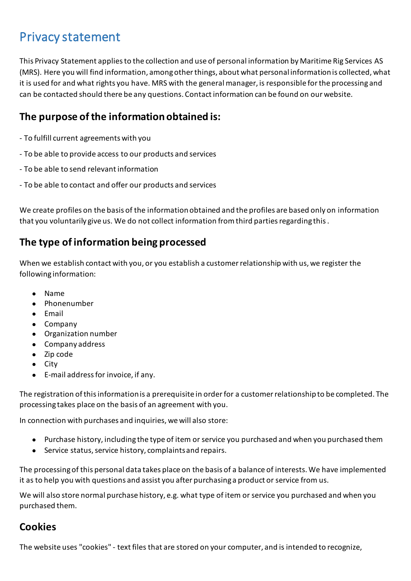# Privacy statement

This Privacy Statement applies to the collection and use of personal information by Maritime Rig Services AS (MRS). Here you will find information, among other things, about what personal information is collected, what it is used for and what rights you have. MRS with the general manager, is responsible for the processing and can be contacted should there be any questions. Contact information can be found on our website.

### **The purpose of the information obtained is:**

- To fulfill current agreements with you
- To be able to provide access to our products and services
- To be able to send relevant information
- To be able to contact and offer our products and services

We create profiles on the basis of the information obtained and the profiles are based only on information that you voluntarily give us. We do not collect information from third parties regarding this .

#### **The type of information being processed**

When we establish contact with you, or you establish a customer relationship with us, we register the following information:

- Name
- Phonenumber
- Email
- Company
- Organization number
- Company address
- Zip code
- City
- E-mail address for invoice, if any.

The registration of this information is a prerequisite in order for a customer relationship to be completed. The processing takes place on the basis of an agreement with you.

In connection with purchases and inquiries, we will also store:

- Purchase history, including the type of item or service you purchased and when you purchased them
- Service status, service history, complaints and repairs.

The processing of this personal data takes place on the basis of a balance of interests. We have implemented it as to help you with questions and assist you after purchasing a product or service from us.

We will also store normal purchase history, e.g. what type of item or service you purchased and when you purchased them.

#### **Cookies**

The website uses "cookies" - text files that are stored on your computer, and is intended to recognize,